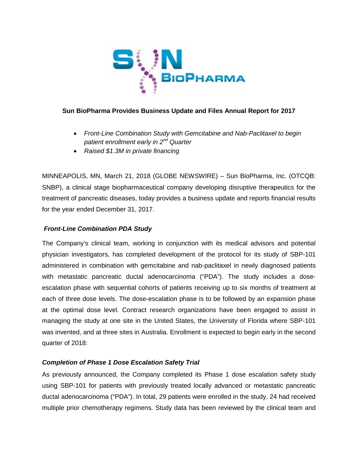

### **Sun BioPharma Provides Business Update and Files Annual Report for 2017**

- *Front-Line Combination Study with Gemcitabine and Nab-Paclitaxel to begin patient enrollment early in 2nd Quarter*
- *Raised \$1.3M in private financing*

MINNEAPOLIS, MN, March 21, 2018 (GLOBE NEWSWIRE) – Sun BioPharma, Inc. (OTCQB: SNBP), a clinical stage biopharmaceutical company developing disruptive therapeutics for the treatment of pancreatic diseases, today provides a business update and reports financial results for the year ended December 31, 2017.

## *Front-Line Combination PDA Study*

The Company's clinical team, working in conjunction with its medical advisors and potential physician investigators, has completed development of the protocol for its study of SBP-101 administered in combination with gemcitabine and nab-paclitaxel in newly diagnosed patients with metastatic pancreatic ductal adenocarcinoma ("PDA"). The study includes a doseescalation phase with sequential cohorts of patients receiving up to six months of treatment at each of three dose levels. The dose-escalation phase is to be followed by an expansion phase at the optimal dose level. Contract research organizations have been engaged to assist in managing the study at one site in the United States, the University of Florida where SBP-101 was invented, and at three sites in Australia. Enrollment is expected to begin early in the second quarter of 2018:

### *Completion of Phase 1 Dose Escalation Safety Trial*

As previously announced, the Company completed its Phase 1 dose escalation safety study using SBP-101 for patients with previously treated locally advanced or metastatic pancreatic ductal adenocarcinoma ("PDA"). In total, 29 patients were enrolled in the study, 24 had received multiple prior chemotherapy regimens. Study data has been reviewed by the clinical team and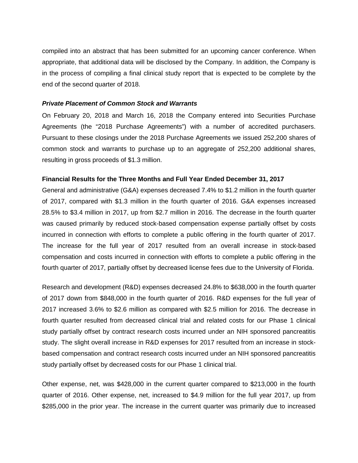compiled into an abstract that has been submitted for an upcoming cancer conference. When appropriate, that additional data will be disclosed by the Company. In addition, the Company is in the process of compiling a final clinical study report that is expected to be complete by the end of the second quarter of 2018.

#### *Private Placement of Common Stock and Warrants*

On February 20, 2018 and March 16, 2018 the Company entered into Securities Purchase Agreements (the "2018 Purchase Agreements") with a number of accredited purchasers. Pursuant to these closings under the 2018 Purchase Agreements we issued 252,200 shares of common stock and warrants to purchase up to an aggregate of 252,200 additional shares, resulting in gross proceeds of \$1.3 million.

#### **Financial Results for the Three Months and Full Year Ended December 31, 2017**

General and administrative (G&A) expenses decreased 7.4% to \$1.2 million in the fourth quarter of 2017, compared with \$1.3 million in the fourth quarter of 2016. G&A expenses increased 28.5% to \$3.4 million in 2017, up from \$2.7 million in 2016. The decrease in the fourth quarter was caused primarily by reduced stock-based compensation expense partially offset by costs incurred in connection with efforts to complete a public offering in the fourth quarter of 2017. The increase for the full year of 2017 resulted from an overall increase in stock-based compensation and costs incurred in connection with efforts to complete a public offering in the fourth quarter of 2017, partially offset by decreased license fees due to the University of Florida.

Research and development (R&D) expenses decreased 24.8% to \$638,000 in the fourth quarter of 2017 down from \$848,000 in the fourth quarter of 2016. R&D expenses for the full year of 2017 increased 3.6% to \$2.6 million as compared with \$2.5 million for 2016. The decrease in fourth quarter resulted from decreased clinical trial and related costs for our Phase 1 clinical study partially offset by contract research costs incurred under an NIH sponsored pancreatitis study. The slight overall increase in R&D expenses for 2017 resulted from an increase in stockbased compensation and contract research costs incurred under an NIH sponsored pancreatitis study partially offset by decreased costs for our Phase 1 clinical trial.

Other expense, net, was \$428,000 in the current quarter compared to \$213,000 in the fourth quarter of 2016. Other expense, net, increased to \$4.9 million for the full year 2017, up from \$285,000 in the prior year. The increase in the current quarter was primarily due to increased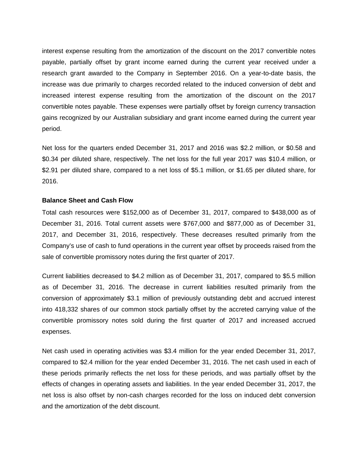interest expense resulting from the amortization of the discount on the 2017 convertible notes payable, partially offset by grant income earned during the current year received under a research grant awarded to the Company in September 2016. On a year-to-date basis, the increase was due primarily to charges recorded related to the induced conversion of debt and increased interest expense resulting from the amortization of the discount on the 2017 convertible notes payable. These expenses were partially offset by foreign currency transaction gains recognized by our Australian subsidiary and grant income earned during the current year period.

Net loss for the quarters ended December 31, 2017 and 2016 was \$2.2 million, or \$0.58 and \$0.34 per diluted share, respectively. The net loss for the full year 2017 was \$10.4 million, or \$2.91 per diluted share, compared to a net loss of \$5.1 million, or \$1.65 per diluted share, for 2016.

#### **Balance Sheet and Cash Flow**

Total cash resources were \$152,000 as of December 31, 2017, compared to \$438,000 as of December 31, 2016. Total current assets were \$767,000 and \$877,000 as of December 31, 2017, and December 31, 2016, respectively. These decreases resulted primarily from the Company's use of cash to fund operations in the current year offset by proceeds raised from the sale of convertible promissory notes during the first quarter of 2017.

Current liabilities decreased to \$4.2 million as of December 31, 2017, compared to \$5.5 million as of December 31, 2016. The decrease in current liabilities resulted primarily from the conversion of approximately \$3.1 million of previously outstanding debt and accrued interest into 418,332 shares of our common stock partially offset by the accreted carrying value of the convertible promissory notes sold during the first quarter of 2017 and increased accrued expenses.

Net cash used in operating activities was \$3.4 million for the year ended December 31, 2017, compared to \$2.4 million for the year ended December 31, 2016. The net cash used in each of these periods primarily reflects the net loss for these periods, and was partially offset by the effects of changes in operating assets and liabilities. In the year ended December 31, 2017, the net loss is also offset by non-cash charges recorded for the loss on induced debt conversion and the amortization of the debt discount.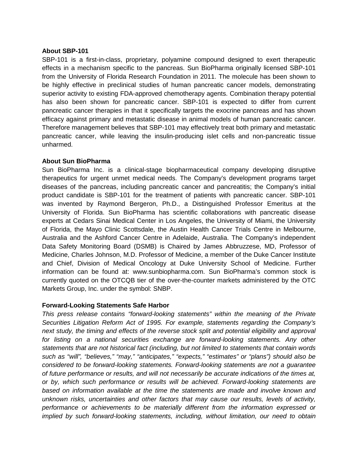#### **About SBP-101**

SBP-101 is a first-in-class, proprietary, polyamine compound designed to exert therapeutic effects in a mechanism specific to the pancreas. Sun BioPharma originally licensed SBP-101 from the University of Florida Research Foundation in 2011. The molecule has been shown to be highly effective in preclinical studies of human pancreatic cancer models, demonstrating superior activity to existing FDA-approved chemotherapy agents. Combination therapy potential has also been shown for pancreatic cancer. SBP-101 is expected to differ from current pancreatic cancer therapies in that it specifically targets the exocrine pancreas and has shown efficacy against primary and metastatic disease in animal models of human pancreatic cancer. Therefore management believes that SBP-101 may effectively treat both primary and metastatic pancreatic cancer, while leaving the insulin-producing islet cells and non-pancreatic tissue unharmed.

#### **About Sun BioPharma**

Sun BioPharma Inc. is a clinical-stage biopharmaceutical company developing disruptive therapeutics for urgent unmet medical needs. The Company's development programs target diseases of the pancreas, including pancreatic cancer and pancreatitis; the Company's initial product candidate is SBP-101 for the treatment of patients with pancreatic cancer. SBP-101 was invented by Raymond Bergeron, Ph.D., a Distinguished Professor Emeritus at the University of Florida. Sun BioPharma has scientific collaborations with pancreatic disease experts at Cedars Sinai Medical Center in Los Angeles, the University of Miami, the University of Florida, the Mayo Clinic Scottsdale, the Austin Health Cancer Trials Centre in Melbourne, Australia and the Ashford Cancer Centre in Adelaide, Australia. The Company's independent Data Safety Monitoring Board (DSMB) is Chaired by James Abbruzzese, MD, Professor of Medicine, Charles Johnson, M.D. Professor of Medicine, a member of the Duke Cancer Institute and Chief, Division of Medical Oncology at Duke University School of Medicine. Further information can be found at: www.sunbiopharma.com. Sun BioPharma's common stock is currently quoted on the OTCQB tier of the over-the-counter markets administered by the OTC Markets Group, Inc. under the symbol: SNBP.

#### **Forward-Looking Statements Safe Harbor**

*This press release contains "forward-looking statements" within the meaning of the Private Securities Litigation Reform Act of 1995. For example, statements regarding the Company's next study, the timing and effects of the reverse stock split and potential eligibility and approval*  for listing on a national securities exchange are forward-looking statements. Any other *statements that are not historical fact (including, but not limited to statements that contain words such as "will", "believes," "may," "anticipates," "expects," "estimates" or "plans") should also be considered to be forward-looking statements. Forward-looking statements are not a guarantee of future performance or results, and will not necessarily be accurate indications of the times at, or by, which such performance or results will be achieved. Forward-looking statements are based on information available at the time the statements are made and involve known and unknown risks, uncertainties and other factors that may cause our results, levels of activity, performance or achievements to be materially different from the information expressed or implied by such forward-looking statements, including, without limitation, our need to obtain*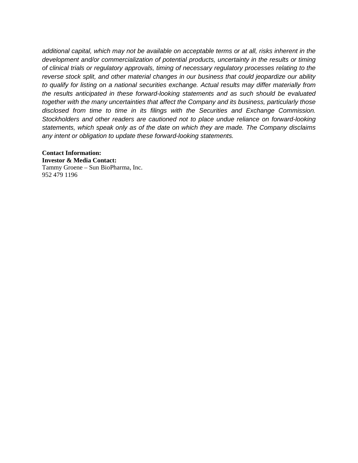*additional capital, which may not be available on acceptable terms or at all, risks inherent in the development and/or commercialization of potential products, uncertainty in the results or timing of clinical trials or regulatory approvals, timing of necessary regulatory processes relating to the reverse stock split, and other material changes in our business that could jeopardize our ability to qualify for listing on a national securities exchange. Actual results may differ materially from the results anticipated in these forward-looking statements and as such should be evaluated together with the many uncertainties that affect the Company and its business, particularly those disclosed from time to time in its filings with the Securities and Exchange Commission. Stockholders and other readers are cautioned not to place undue reliance on forward-looking statements, which speak only as of the date on which they are made. The Company disclaims any intent or obligation to update these forward-looking statements.*

**Contact Information: Investor & Media Contact:** Tammy Groene – Sun BioPharma, Inc. 952 479 1196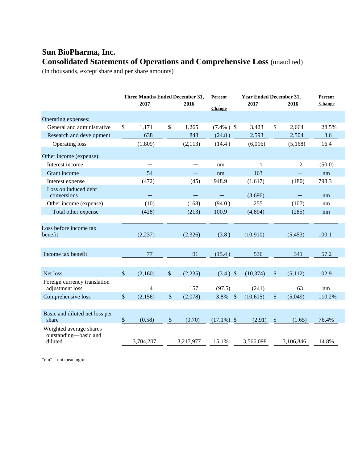## **Sun BioPharma, Inc. Consolidated Statements of Operations and Comprehensive Loss** (unaudited)

(In thousands, except share and per share amounts)

|                                         | <b>Three Months Ended December 31,</b> |                          |                           | <b>Percent</b> | <b>Year Ended December 31,</b> | Percent      |                           |                |               |
|-----------------------------------------|----------------------------------------|--------------------------|---------------------------|----------------|--------------------------------|--------------|---------------------------|----------------|---------------|
|                                         |                                        | 2017                     |                           | 2016           | <b>Change</b>                  | 2017         |                           | 2016           | <b>Change</b> |
|                                         |                                        |                          |                           |                |                                |              |                           |                |               |
| Operating expenses:                     |                                        |                          |                           |                |                                |              |                           |                |               |
| General and administrative              | $\mathcal{S}$                          | 1,171                    | $\mathsf{\$}$             | 1,265          | $(7.4\%)^{\circ}$              | 3,423        | \$                        | 2,664          | 28.5%         |
| Research and development                |                                        | 638                      |                           | 848            | (24.8)                         | 2,593        | 2,504                     |                | 3.6           |
| Operating loss                          |                                        | (1,809)                  |                           | (2,113)        | (14.4)                         | (6,016)      | (5,168)                   |                | 16.4          |
| Other income (expense):                 |                                        |                          |                           |                |                                |              |                           |                |               |
| Interest income                         |                                        |                          |                           |                | nm                             | $\mathbf{1}$ |                           | $\overline{2}$ | (50.0)        |
| Grant income                            |                                        | 54                       |                           |                | nm                             | 163          |                           |                | nm            |
| Interest expense                        |                                        | (472)                    |                           | (45)           | 948.9                          | (1,617)      |                           | (180)          | 798.3         |
| Loss on induced debt<br>conversions     |                                        |                          |                           |                |                                | (3,696)      |                           |                | nm            |
| Other income (expense)                  |                                        | (10)                     |                           | (168)          | (94.0)                         | 255          |                           | (107)          | nm            |
| Total other expense                     |                                        | (428)                    |                           | (213)          | 100.9                          | (4,894)      |                           | (285)          | nm            |
|                                         |                                        |                          |                           |                |                                |              |                           |                |               |
| Loss before income tax<br>benefit       |                                        | (2, 237)                 |                           | (2,326)        | (3.8)                          | (10,910)     |                           | (5, 453)       | 100.1         |
|                                         |                                        |                          |                           |                |                                |              |                           |                |               |
| Income tax benefit                      |                                        | 77                       |                           | 91             | (15.4)                         | 536          |                           | 341            | 57.2          |
|                                         |                                        |                          |                           |                |                                |              |                           |                |               |
| Net loss                                | $\$\,$                                 | (2,160)                  | $\boldsymbol{\mathsf{S}}$ | (2,235)        | $\$\,$<br>(3.4)                | (10, 374)    | $\$\,$                    | (5,112)        | 102.9         |
| Foreign currency translation            |                                        |                          |                           |                |                                |              |                           |                |               |
| adjustment loss                         |                                        | $\overline{\mathcal{A}}$ |                           | 157            | (97.5)                         | (241)        |                           | 63             | nm            |
| Comprehensive loss                      | $\$\,$                                 | (2, 156)                 | $\$\,$                    | (2,078)        | \$<br>3.8%                     | (10,615)     | $\boldsymbol{\mathsf{S}}$ | (5,049)        | 110.2%        |
|                                         |                                        |                          |                           |                |                                |              |                           |                |               |
| Basic and diluted net loss per<br>share | $\$$                                   | (0.58)                   | $\$$                      | (0.70)         | $(17.1\%)$ \$                  | (2.91)       | \$                        | (1.65)         | 76.4%         |
| Weighted average shares                 |                                        |                          |                           |                |                                |              |                           |                |               |
| outstanding-basic and<br>diluted        |                                        | 3,704,207                |                           | 3,217,977      | 15.1%                          | 3,566,098    |                           | 3,106,846      | 14.8%         |

"nm" = not meaningful.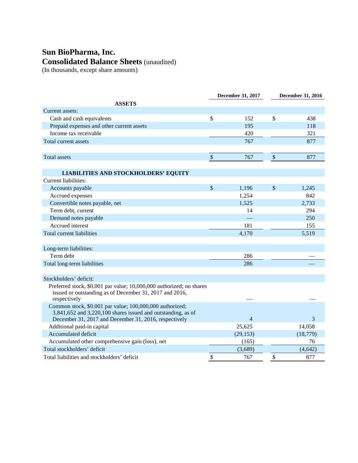# **Sun BioPharma, Inc. Consolidated Balance Sheets** (unaudited)

(In thousands, except share amounts)

|                                                                      |               | <b>December 31, 2017</b> | <b>December 31, 2016</b> |           |  |
|----------------------------------------------------------------------|---------------|--------------------------|--------------------------|-----------|--|
| <b>ASSETS</b>                                                        |               |                          |                          |           |  |
| Current assets:                                                      |               |                          |                          |           |  |
| Cash and cash equivalents                                            | \$            | 152                      | \$                       | 438       |  |
| Prepaid expenses and other current assets                            |               | 195                      |                          | 118       |  |
| Income tax receivable                                                |               | 420                      |                          | 321       |  |
| Total current assets                                                 |               | 767                      |                          | 877       |  |
|                                                                      |               |                          |                          |           |  |
| <b>Total assets</b>                                                  | $\frac{1}{2}$ | 767                      | $\sqrt{2}$               | 877       |  |
|                                                                      |               |                          |                          |           |  |
| <b>LIABILITIES AND STOCKHOLDERS' EQUITY</b>                          |               |                          |                          |           |  |
| Current liabilities:                                                 |               |                          |                          |           |  |
| Accounts payable                                                     | $\mathcal{S}$ | 1,196                    | \$                       | 1,245     |  |
| Accrued expenses                                                     |               | 1,254                    |                          | 842       |  |
| Convertible notes payable, net                                       |               | 1,525                    |                          | 2,733     |  |
| Term debt, current                                                   |               | 14                       |                          | 294       |  |
| Demand notes payable                                                 |               |                          |                          | 250       |  |
| Accrued interest                                                     |               | 181                      |                          | 155       |  |
| Total current liabilities                                            |               | 4,170                    |                          | 5,519     |  |
|                                                                      |               |                          |                          |           |  |
| Long-term liabilities:                                               |               |                          |                          |           |  |
| Term debt                                                            |               | 286                      |                          |           |  |
| Total long-term liabilities                                          |               | 286                      |                          |           |  |
|                                                                      |               |                          |                          |           |  |
| Stockholders' deficit:                                               |               |                          |                          |           |  |
| Preferred stock, \$0.001 par value; 10,000,000 authorized; no shares |               |                          |                          |           |  |
| issued or outstanding as of December 31, 2017 and 2016,              |               |                          |                          |           |  |
| respectively                                                         |               |                          |                          |           |  |
| Common stock, \$0.001 par value; 100,000,000 authorized;             |               |                          |                          |           |  |
| $3,841,652$ and $3,220,100$ shares issued and outstanding, as of     |               |                          |                          |           |  |
| December 31, 2017 and December 31, 2016, respectively                |               | 4                        |                          | 3         |  |
| Additional paid-in capital<br>Accumulated deficit                    |               | 25,625                   |                          | 14,058    |  |
|                                                                      |               | (29, 153)                |                          | (18, 779) |  |
| Accumulated other comprehensive gain (loss), net                     |               | (165)                    |                          | 76        |  |
| Total stockholders' deficit                                          |               | (3,689)                  |                          | (4, 642)  |  |
| Total liabilities and stockholders' deficit                          | \$            | 767                      | \$                       | 877       |  |